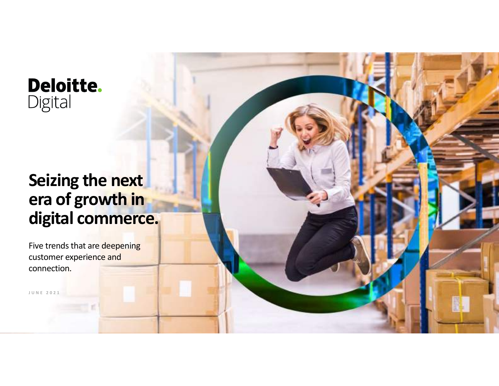#### **Deloitte.** Digital

## Seizing the next era of growth in digital commerce. Seizing the next<br>era of growth in<br>digital commerce.

Five trends that are deepening customer experience and connection.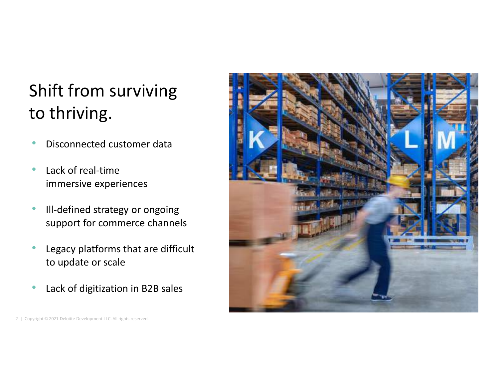### Shift from surviving to thriving.

- Disconnected customer data
- Lack of real-time immersive experiences
- Ill-defined strategy or ongoing support for commerce channels
- Lack of real-time<br>
immersive experiences<br>
 III-defined strategy or ongoing<br>
support for commerce channels<br>
 Legacy platforms that are difficult<br>
to update or scale<br>
 Lack of digitization in B2B sales<br>
↓ Copyright © 2 Legacy platforms that are difficult to update or scale • Lack of real-time<br>
immersive experiences<br>
• III-defined strategy or ongoing<br>
support for commerce channels<br>
• Legacy platforms that are difficult<br>
to update or scale<br>
• Lack of digitization in B2B sales<br>
• Lack of digit
	- Lack of digitization in B2B sales

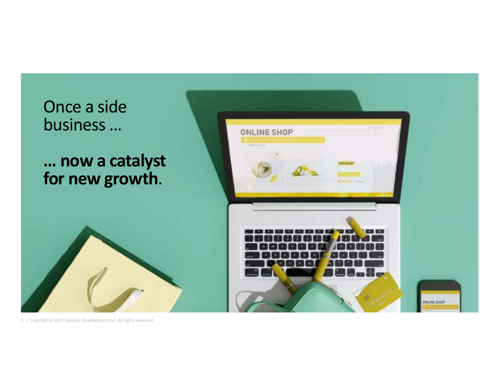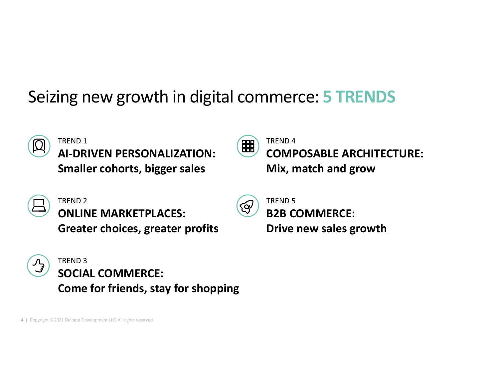### Seizing new growth in digital commerce: 5 TRENDS



TREND 1 TREND 1 (EH) Smaller cohorts, bigger sales



TREND 4 COMPOSABLE ARCHITECTURE: Mix, match and grow



TREND 2 ONLINE MARKETPLACES: Greater choices, greater profits



Smaller cohorts, bigger sales<br>
(CONLINE MARKETPLACES:<br>
Greater choices, greater profits<br>
(CONLINE CONNERCE:<br>
Come for friends, stay for shoppin TREND 3 SOCIAL COMMERCE: Come for friends, stay for shopping

ζQ⁄

TREND 5 B2B COMMERCE: Drive new sales growth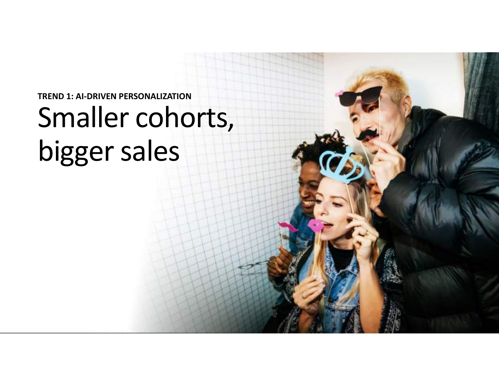## TREND 1: AI-DRIVEN PERSONALIZATION Smaller cohorts, bigger sales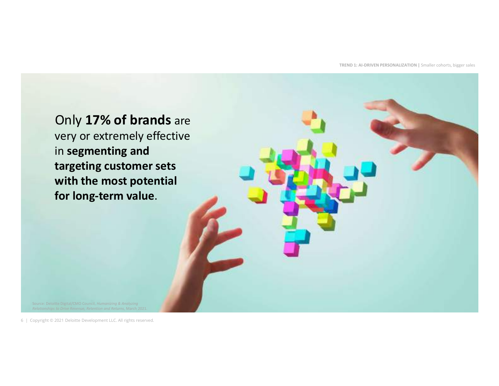TREND 1: AI-DRIVEN PERSONALIZATION | Smaller cohorts, bigger sales

targeting customer sets<br>with the most potential<br>for long-term value.<br>For long-term value.<br>Andron property and the computer of a straight of the first reserved.<br>Andron property to 2021 Deloitte Development LLC. All rights r Only 17% of brands are very or extremely effective in segmenting and targeting customer sets with the most potential for long-term value. Relationships to Drive Revenue, Retention and Returns, March 2021. targeting customer sets<br>with the most potential<br>for long-term value.<br>For long-term value.<br>All rights of the state of the state of the state of the state of the state of the state of the state of the state of the state of t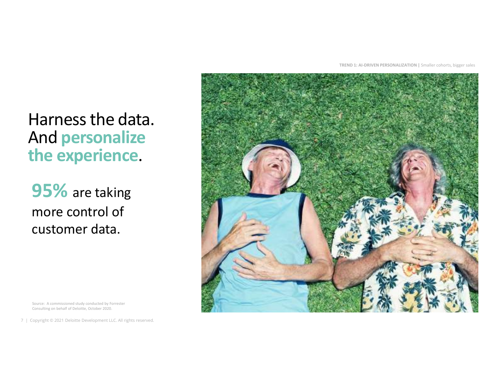TREND 1: AI-DRIVEN PERSONALIZATION | Smaller cohorts, bigger sales

#### Harness the data. And personalize the experience.

**95%** are taking<br>more control of<br>customer data.<br>Consulting on behalf of Deloitte, October 2021.<br>Consulting on behalf of Deloitte, October 2021.<br>Consulting on behalf of Deloitte, October 2022.<br>7 | Copyright © 2021 Deloitte 95% are taking more control of customer data. **95%** are taking<br>more control of<br>customer data.<br>
source: A commissioned study conducted by *Forrestar*<br>Consulting on behalt of Deloitte, October 2020.<br>
T | Copyright © 2021 Deloitte Development LLC. All rights reserved.

Consulting on behalf of Deloitte, October 2020.

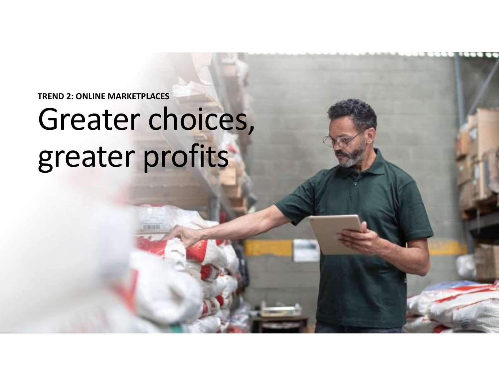#### TREND 2: ONLINE MARKETPLACES

## Greater choices, greater profits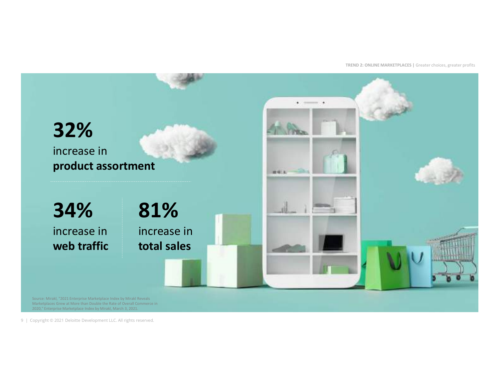TREND 2: ONLINE MARKETPLACES | Greater choices, greater profits

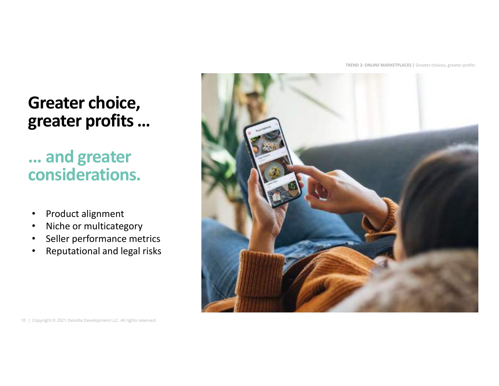TREND 2: ONLINE MARKETPLACES | Greater choices, greater profits

#### Greater choice, greater profits …

#### ... and greater considerations.

- Product alignment
- Niche or multicategory
- Seller performance metrics
- Reputational and legal risks

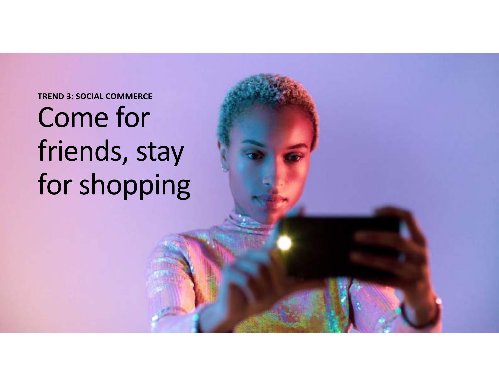#### TREND 3: SOCIAL COMMERCE

## Come for friends, stay for shopping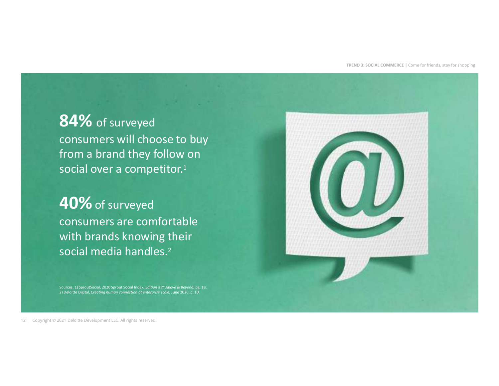TREND 3: SOCIAL COMMERCE | Come for friends, stay for shopping

#### 84% of surveyed consumers will choose to buy from a brand they follow on social over a competitor.<sup>1</sup>

## 12 | Copyright © 2021 Deloitte Development LLC. All rights reserved.<br>
12 | Copyright © 2021 Deloitte Development LLC. All rights reserved. 40% of surveyed consumers are comfortable with brands knowing their social media handles.2 social over a competitor.<sup>1</sup><br> **40%** of surveyed<br>
consumers are comfortable<br>
with brands knowing their<br>
social media handles.<sup>2</sup><br>
Space of the social media handles.<sup>2</sup>

Sources: 1) SproutSocial, 2020 Sprout Social Index, Edition XVI: Above & Beyond, pg. 18. 2) Deloitte Digital, Creating human connection at enterprise scale, June 2020, p. 10.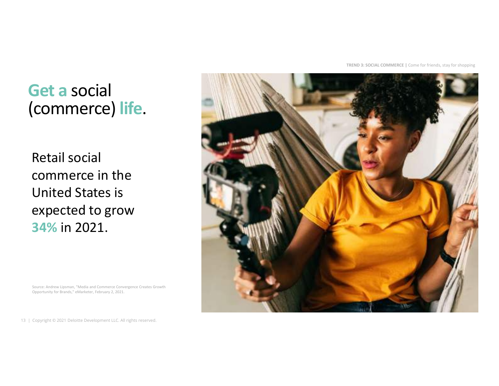TREND 3: SOCIAL COMMERCE | Come for friends, stay for shopping

#### Get a social (commerce) life.

13 | Copyright © 2021 Deloitte Development LLC. All rights reserved.<br>
13 | Copyright © 2021 Deloitte Development LLC. All rights reserved.<br>
13 | Copyright © 2021 Deloitte Development LLC. All rights reserved. Retail social commerce in the United States is expected to grow 34% in 2021. 13 | Copyright © 2021 Deloitte Development LLC. All rights reserved.<br>
13 | Copyright © 2021 Deloitte Development LLC. All rights reserved.<br>
13 | Copyright © 2021 Deloitte Development LLC. All rights reserved.



Source: Andrew Lipsman, "Media and Commerce Convergence Creates Growth Opportunity for Brands," eMarketer, February 2, 2021.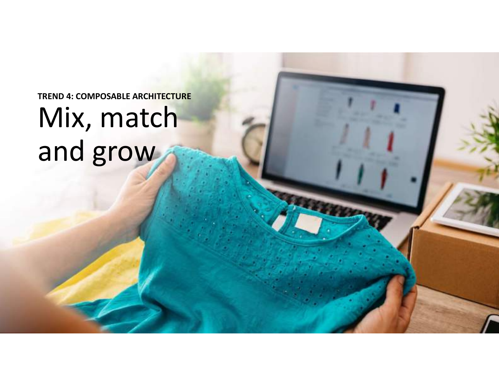## TREND 4: COMPOSABLE ARCHITECTURE Mix, match and grow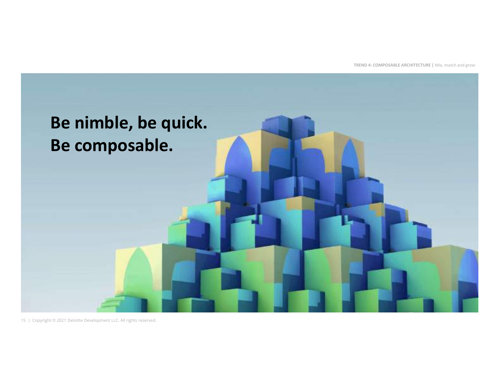TREND 4: COMPOSABLE ARCHITECTURE | Mix, match and grow

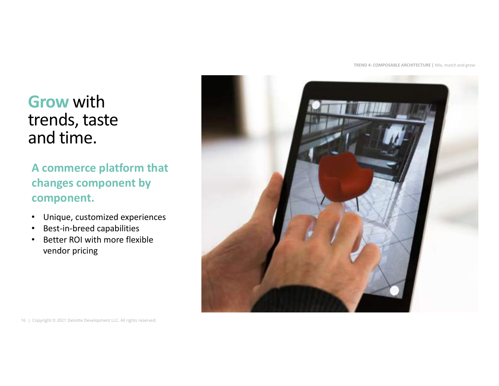TREND 4: COMPOSABLE ARCHITECTURE | Mix, match and grow

# **Grow with<br>trends, taste**

#### A commerce platform that changes component by component.

- Unique, customized experiences
- Best-in-breed capabilities
- Better ROI with more flexible vendor pricing

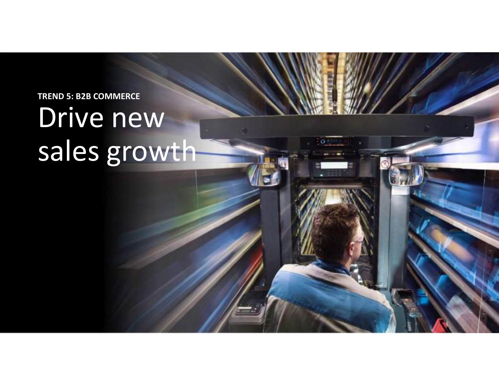TREND 5: B2B COMMERCE

## Drive new sales growth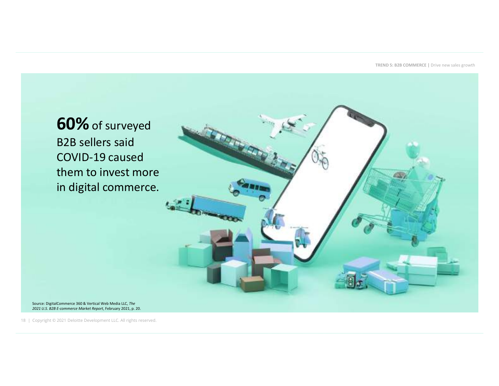TREND 5: B2B COMMERCE | Drive new sales growth

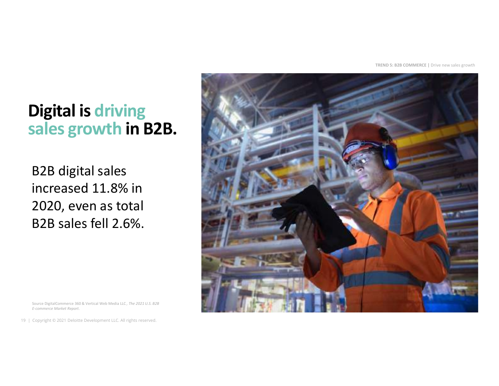TREND 5: B2B COMMERCE | Drive new sales growth

#### Digital is driving sales growth in B2B.

19 | Copyright © 2021 Deloitte Development LLC. All rights reserved.<br>
19 | Copyright © 2021 Deloitte Development LLC. All rights reserved. B2B digital sales increased 11.8% in 2020, even as total B2B sales fell 2.6%. EXAMPLE DEVIDENCE REPORT OF THE COMMERCE SOLA Vertical Neb Media LLC, The 2021 U.S. 623<br>
Source Digital Commerce S60.8. Vertical Neb Media LLC, The 2021 U.S. 623<br>
Ecommerce Merket Report.<br>
Ecommerce Merket Report.<br>
19 | Co

Source DigitalCommerce 360 & Vertical Web Media LLC, The 2021 U.S. B2B E-commerce Market Report.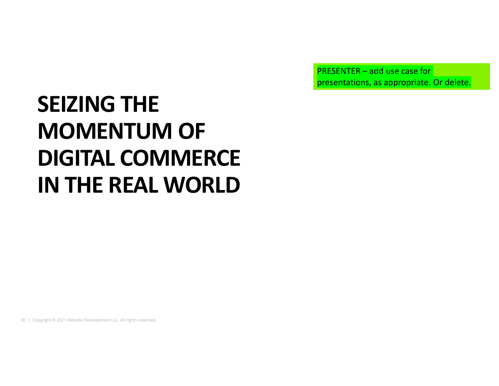PRESENTER – add use case for presentations, as appropriate. Or delete.

# 20 | Copyright © 2021 Deloitte Development LLC. All rights reserved.<br>20 | Copyright © 2021 Deloitte Development LLC. All rights reserved. SEIZING THE MOMENTUM OF DIGITAL COMMERCE IN THE REAL WORLD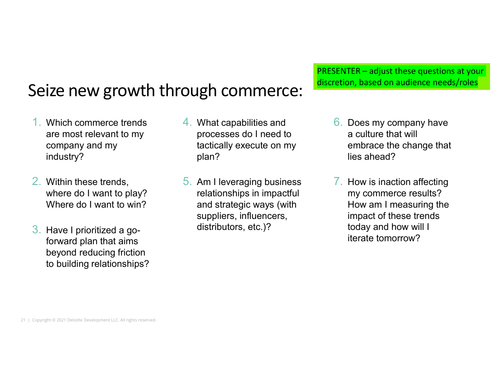#### Seize new growth through commerce:

- 1. Which commerce trends are most relevant to my company and my industry?
- 2. Within these trends, where do I want to play? Where do I want to win?
- 2. Within these trends, 5. Am I level<br>where do I want to play? Telations<br>Where do I want to win? and strate<br>suppliers<br>3. Have I prioritized a go-<br>forward plan that aims<br>beyond reducing friction<br>to building relationships?<br>2 3. Have I prioritized a goforward plan that aims beyond reducing friction to building relationships?
- 4. What capabilities and processes do I need to tactically execute on my plan?
	- 5. Am I leveraging business relationships in impactful and strategic ways (with suppliers, influencers, distributors, etc.)?

PRESENTER – adjust these questions at your discretion, based on audience needs/roles

- 6. Does my company have a culture that will embrace the change that lies ahead?
- 7. How is inaction affecting my commerce results? How am I measuring the impact of these trends today and how will I iterate tomorrow?